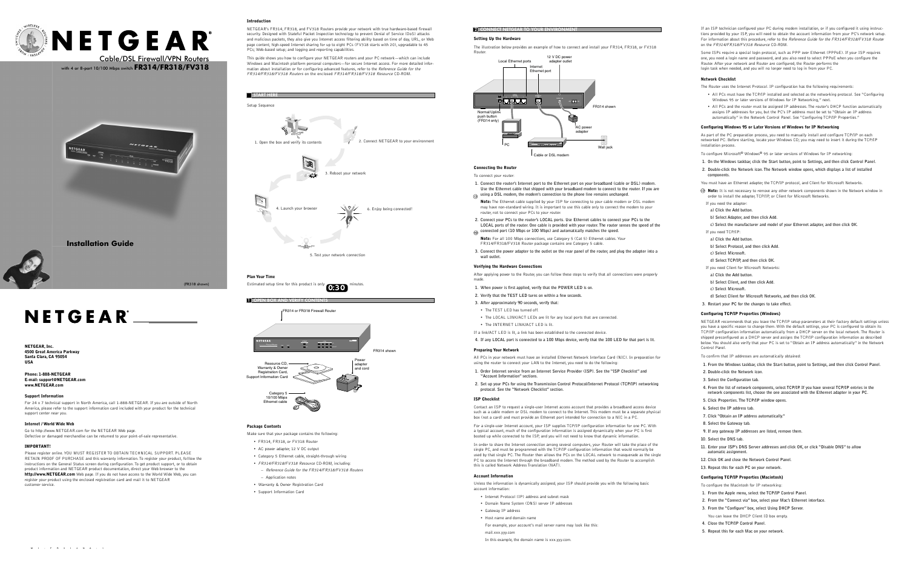## **Setting Up the Hardware**

The illustration below provides an example of how to connect and install your FR314, FR318, or FV318

## **Connecting the Router**

To connect your router:

- **1. Connect the router's Internet port to the Ethernet port on your broadband (cable or DSL) modem. Use the Ethernet cable that shipped with your broadband modem to connect to the router. If you are**  $\alpha$  using a DSL modem, the modem's connection to the phone line remains unchanged.
- **Note:** The Ethernet cable supplied by your ISP for connecting to your cable modem or DSL modem may have non-standard wiring. It is important to use this cable only to connect the modem to your router, not to connect your PCs to your router.
- **2. Connect your PCs to the router's LOCAL ports. Use Ethernet cables to connect your PCs to the LOCAL ports of the router. One cable is provided with your router. The router senses the speed of the c** connected port (10 Mbps or 100 Mbps) and automatically matches the speed.
- **Note:** For all 100 Mbps connections, use Category 5 (Cat 5) Ethernet cables. Your FR314/FR318/FV318 Router package contains one Category 5 cable.
- **3. Connect the power adapter to the outlet on the rear panel of the router, and plug the adapter into a wall outlet.**

## **Verifying the Hardware Connections**

After applying power to the Router, you can follow these steps to verify that all connections were properly made.

- **1. When power is first applied, verify that the POWER LED is on.**
- **2. Verify that the TEST LED turns on within a few seconds.**
- **3. After approximately 90 seconds, verify that:**
- The TEST LED has turned off.
- The LOCAL LINK/ACT LEDs are lit for any local ports that are connected.
- The INTERNET LINK/ACT LED is lit.
- If a link/ACT LED is lit, a link has been established to the connected device.
- **4. If any LOCAL port is connected to a 100 Mbps device, verify that the 100 LED for that port is lit.**

## **Preparing Your Network**

All PCs in your network must have an installed Ethernet Network Interface Card (NIC). In preparation for using the router to connect your LAN to the Internet, you need to do the following:



- **1. Order Internet service from an Internet Service Provider (ISP). See the "ISP Checklist" and "Account Information" sections.**
- **2. Set up your PCs for using the Transmission Control Protocol/Internet Protocol (TCP/IP) networking protocol. See the "Network Checklist" section.**

## **ISP Checklist**

Contact an ISP to request a single-user Internet access account that provides a broadband access device such as a cable modem or DSL modem to connect to the Internet.This modem must be a separate physical box (not a card) and must provide an Ethernet port intended for connection to a NIC in a PC.

For a single-user Internet account, your ISP supplies TCP/IP configuration information for one PC. With a typical account, much of the configuration information is assigned dynamically when your PC is first booted up while connected to the ISP, and you will not need to know that dynamic information.

In order to share the Internet connection among several computers, your Router will take the place of the single PC, and must be programmed with the TCP/IP configuration information that would normally be used by that single PC.The Router then allows the PCs on the LOCAL network to masquerade as the single PC to access the Internet through the broadband modem.The method used by the Router to accomplish this is called Network Address Translation (NAT).

## **Account Informatio**

Unless the information is dynamically assigned, your ISP should provide you with the following basic account information:

- Internet Protocol (IP) address and subnet mask
- Domain Name System (DNS) server IP addresses
- Gateway IP address
- Host name and domain name
- For example, your account's mail server name may look like this: mail.xxx.yyy.com

In this example, the domain name is xxx.yyy.com.



**START HERE** 

NETGEAR's FR314, FR318, and FV318 Routers provide your network with true hardware-based firewall security. Designed with Stateful Packet Inspection technology to prevent Denial of Service (DoS) attacks and malicious packets, they also give you Internet access filtering ability based on time of day, URL, or Web page content; high-speed Internet sharing for up to eight PCs (FV318 starts with 20), upgradable to 45 PCs; Web-based setup; and logging and reporting capabilities.

This guide shows you how to configure your NETGEAR routers and your PC network—which can include Windows and Macintosh platform personal computers—for secure Internet access. For more detailed information about installation or for configuring advanced features, refer to the Reference Guide for the FR314/FR318/FV318 Routers on the enclosed FR314/FR318/FV318 Resource CD-ROM.





## **Plan Your Time**

Estimated setup time for this product is only minutes  $^{\prime}$  0:30

## **Package Contents**

Make sure that your package contains the following:

- FR314, FR318, or FV318 Router
- AC power adapter, 12 V DC output
- Category 5 Ethernet cable, straight-through wiring
- FR314/FR318/FV318 Resource CD-ROM, including:
- Reference Guide for the FR314/FR318/FV318 Routers
- Application notes
- Warranty & Owner Registration Card
- Support Information Card

If an ISP technician configured your PC during modem installation, or if you configured it using instructions provided by your ISP, you will need to obtain the account information from your PC's network setup. For information about this procedure, refer to the Reference Guide for the FR314/FR318/FV318 Router on the FR314/FR318/FV318 Resource CD-ROM.



## SARINETGEAR® Cable/DSL Firewall/VPN Routers

Some ISPs require a special login protocol, such as PPP over Ethernet (PPPoE). If your ISP requires one, you need a login name and password, and you also need to select PPPoE when you configure the Router. After your network and Router are configured, the Router performs the login task when needed, and you will no longer need to log in from your PC.

## **Network Checklist**

The Router uses the Internet Protocol. IP configuration has the following requirements:

- All PCs must have the TCP/IP installed and selected as the networking protocol. See "Configuring Windows 95 or later versions of Windows for IP Networking," next.
- All PCs and the router must be assigned IP addresses.The router's DHCP function automatically assigns IP addresses for you, but the PC's IP address must be set to "Obtain an IP address automatically" in the Network Control Panel. See "Configuring TCP/IP Properties."

## **Configuring Windows 95 or Later Versions of Windows for IP Networking**

As part of the PC preparation process, you need to manually install and configure TCP/IP on each networked PC. Before starting, locate your Windows CD; you may need to insert it during the TCP/IP installation process.

To configure Microsoft® Windows® 95 or later versions of Windows for IP networking:

- **1. On the Windows taskbar, click the Start button, point to Settings, and then click Control Panel.**
- **2. Double-click the Network icon. The Network window opens, which displays a list of installed components.**

You must have an Ethernet adapter, the TCP/IP protocol, and Client for Microsoft Networks.

- **Note:** It is not necessary to remove any other network components shown in the Network window in order to install the adapter,TCP/IP, or Client for Microsoft Networks.
- If you need the adapter:
- **a) Click the Add button.**
- **b) Select Adapter, and then click Add.**
- **c) Select the manufacturer and model of your Ethernet adapter, and then click OK.**
- If you need TCP/IP:
- **a) Click the Add button.**
- **b) Select Protocol, and then click Add.**
- **c) Select Microsoft.**
- **d) Select TCP/IP, and then click OK.**
- If you need Client for Microsoft Networks:
- **a) Click the Add button.**
- **b) Select Client, and then click Add.**
- **c) Select Microsoft.**
- **d) Select Client for Microsoft Networks, and then click OK.**
- **3. Restart your PC for the changes to take effect.**

## **Configuring TCP/IP Properties (Windows)**



NETGEAR recommends that you leave the TCP/IP setup parameters at their factory default settings unless you have a specific reason to change them. With the default settings, your PC is configured to obtain its TCP/IP configuration information automatically from a DHCP server on the local network.The Router is shipped preconfigured as a DHCP server and assigns the TCP/IP configuration information as described below. You should also verify that your PC is set to "Obtain an IP address automatically" in the Network Control Panel.

- To confirm that IP addresses are automatically obtained:
- **1. From the Windows taskbar, click the Start button, point to Settings, and then click Control Panel.**
- **2. Double-click the Network icon.**
- **3. Select the Configuration tab.**
- **4. From the list of network components, select TCP/IP. If you have several TCP/IP entries in the network components list, choose the one associated with the Ethernet adapter in your PC.**
- **5. Click Properties. The TCP/IP window opens.**
- **6. Select the IP address tab.**
- **7. Click "Obtain an IP address automatically."**
- **8. Select the Gateway tab.**
- **9. If any gateway IP addresses are listed, remove them.**
- **10. Select the DNS tab.**
- **11. Enter your ISP's DNS Server addresses and click OK, or click "Disable DNS" to allow automatic assignment.**
- **12. Click OK and close the Network Control Panel.**
- **13. Repeat this for each PC on your network.**

## **Configuring TCP/IP Properties (Macintosh)**

To configure the Macintosh for IP networking:

- **1. From the Apple menu, select the TCP/IP Control Panel.**
- **2. From the "Connect via" box, select your Mac's Ethernet interface.**
- **3. From the "Configure" box, select Using DHCP Server.** You can leave the DHCP Client ID box empty.
- **4. Close the TCP/IP Control Panel.**
- **5. Repeat this for each Mac on your network.**

**NETGEAR, Inc. 4500 Great America Parkway Santa Clara, CA 95054 USA**

**Phone: 1-888-NETGEAR E-mail: support@NETGEAR.com www.NETGEAR.com**

## **Support Information**

For 24 x 7 technical support in North America, call 1-888-NETGEAR. If you are outside of North America, please refer to the support information card included with your product for the technical support center near you.

## **Internet / World Wide Web**

Go to http://www.NETGEAR.com for the NETGEAR Web page. Defective or damaged merchandise can be returned to your point-of-sale representative.

## **IMPORTANT!**

Please register online. YOU MUST REGISTER TO OBTAIN TECHNICAL SUPPORT. PLEASE RETAIN PROOF OF PURCHASE and this warranty information.To register your product, folllow the instructions on the General Status screen during configuration.To get product support, or to obtain product information and NETGEAR product documentation, direct your Web browser to the **http://www.NETGEAR.com** Web page. If you do not have access to the World Wide Web, you can register your product using the enclosed registration card and mail it to NETGEAR customer service.



with 4 or 8-port 10/100 Mbps switch **FR314/FR318/FV318**

**Installation Guide**

5.Test your network connection

(FR318 shown)

# NETGEAR®